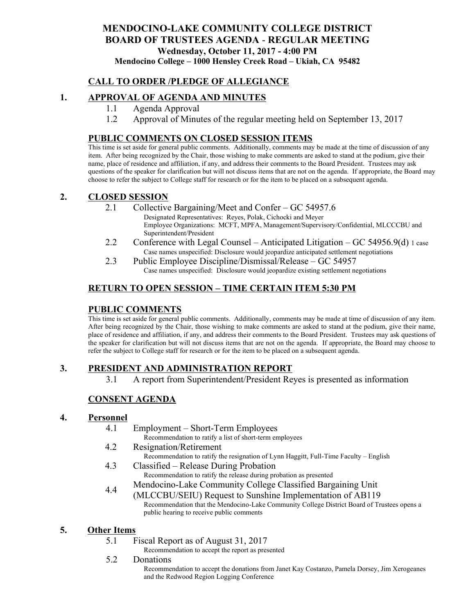## **MENDOCINO-LAKE COMMUNITY COLLEGE DISTRICT BOARD OF TRUSTEES AGENDA** - **REGULAR MEETING Wednesday, October 11, 2017 - 4:00 PM Mendocino College – 1000 Hensley Creek Road – Ukiah, CA 95482**

## **CALL TO ORDER /PLEDGE OF ALLEGIANCE**

## **1. APPROVAL OF AGENDA AND MINUTES**

- 1.1 Agenda Approval
- 1.2 Approval of Minutes of the regular meeting held on September 13, 2017

### **PUBLIC COMMENTS ON CLOSED SESSION ITEMS**

This time is set aside for general public comments. Additionally, comments may be made at the time of discussion of any item. After being recognized by the Chair, those wishing to make comments are asked to stand at the podium, give their name, place of residence and affiliation, if any, and address their comments to the Board President. Trustees may ask questions of the speaker for clarification but will not discuss items that are not on the agenda. If appropriate, the Board may choose to refer the subject to College staff for research or for the item to be placed on a subsequent agenda.

### **2. CLOSED SESSION**

2.1 Collective Bargaining/Meet and Confer – GC 54957.6

Designated Representatives: Reyes, Polak, Cichocki and Meyer Employee Organizations: MCFT, MPFA, Management/Supervisory/Confidential, MLCCCBU and Superintendent/President

- 2.2 Conference with Legal Counsel Anticipated Litigation GC 54956.9(d) 1 case Case names unspecified: Disclosure would jeopardize anticipated settlement negotiations
- 2.3 Public Employee Discipline/Dismissal/Release GC 54957 Case names unspecified: Disclosure would jeopardize existing settlement negotiations

# **RETURN TO OPEN SESSION – TIME CERTAIN ITEM 5:30 PM**

### **PUBLIC COMMENTS**

This time is set aside for general public comments. Additionally, comments may be made at time of discussion of any item. After being recognized by the Chair, those wishing to make comments are asked to stand at the podium, give their name, place of residence and affiliation, if any, and address their comments to the Board President. Trustees may ask questions of the speaker for clarification but will not discuss items that are not on the agenda. If appropriate, the Board may choose to refer the subject to College staff for research or for the item to be placed on a subsequent agenda.

## **3. PRESIDENT AND ADMINISTRATION REPORT**

3.1 A report from Superintendent/President Reyes is presented as information

## **CONSENT AGENDA**

#### **4. Personnel**

- 4.1 Employment Short-Term Employees Recommendation to ratify a list of short-term employees
- 4.2 Resignation/Retirement Recommendation to ratify the resignation of Lynn Haggitt, Full-Time Faculty – English
- 4.3 Classified Release During Probation Recommendation to ratify the release during probation as presented
- 4.4 Mendocino-Lake Community College Classified Bargaining Unit
	- (MLCCBU/SEIU) Request to Sunshine Implementation of AB119 Recommendation that the Mendocino-Lake Community College District Board of Trustees opens a public hearing to receive public comments

#### **5. Other Items**

- 5.1 Fiscal Report as of August 31, 2017
	- Recommendation to accept the report as presented
- 5.2 Donations

Recommendation to accept the donations from Janet Kay Costanzo, Pamela Dorsey, Jim Xerogeanes and the Redwood Region Logging Conference